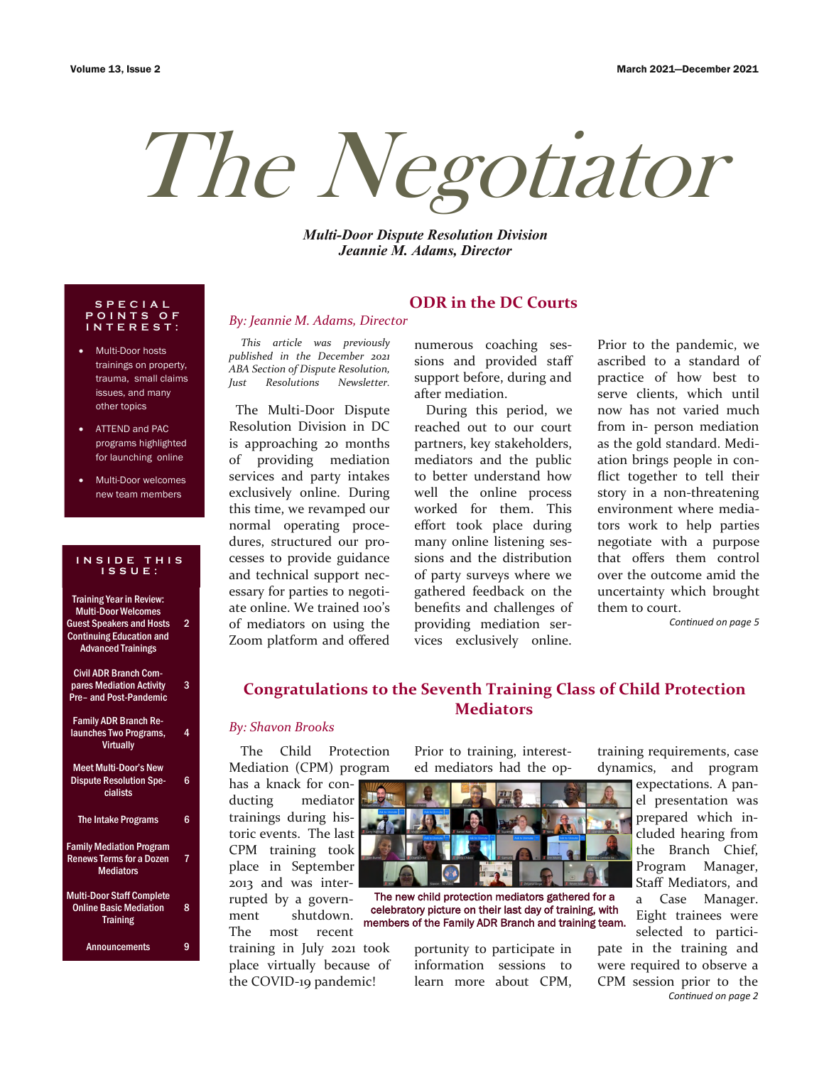# The Negotiator

*Multi-Door Dispute Resolution Division Jeannie M. Adams, Director*

### **S P E C I A L P O I N T S O F I N T E R E S T :**

- Multi-Door hosts trainings on property, trauma, small claims issues, and many other topics
- ATTEND and PAC programs highlighted for launching online
- Multi-Door welcomes new team members

### **I N S I D E T H I S I S S U E :**

| <b>Training Year in Review:</b><br><b>Multi-Door Welcomes</b><br><b>Guest Speakers and Hosts</b><br><b>Continuing Education and</b><br><b>Advanced Trainings</b> | 2  |
|------------------------------------------------------------------------------------------------------------------------------------------------------------------|----|
| <b>Civil ADR Branch Com-</b><br>pares Mediation Activity<br>Pre- and Post-Pandemic                                                                               | 3  |
| <b>Family ADR Branch Re-</b><br>launches Two Programs,<br><b>Virtually</b>                                                                                       | 4  |
| <b>Meet Multi-Door's New</b><br><b>Dispute Resolution Spe-</b><br>cialists                                                                                       | 6  |
| <b>The Intake Programs</b>                                                                                                                                       | 6  |
| <b>Family Mediation Program</b><br><b>Renews Terms for a Dozen</b><br><b>Mediators</b>                                                                           | 7. |
| <b>Multi-Door Staff Complete</b><br><b>Online Basic Mediation</b><br><b>Training</b>                                                                             | 8  |
| <b>Announcements</b>                                                                                                                                             | 9  |

*This article was previously published in the December 2021 ABA Section of Dispute Resolution, Just Resolutions Newsletter.* 

*By: Jeannie M. Adams, Director*

 The Multi-Door Dispute Resolution Division in DC is approaching 20 months of providing mediation services and party intakes exclusively online. During this time, we revamped our normal operating procedures, structured our processes to provide guidance and technical support necessary for parties to negotiate online. We trained 100's of mediators on using the Zoom platform and offered

# **ODR in the DC Courts**

numerous coaching sessions and provided staff support before, during and after mediation.

During this period, we reached out to our court partners, key stakeholders, mediators and the public to better understand how well the online process worked for them. This effort took place during many online listening sessions and the distribution of party surveys where we gathered feedback on the benefits and challenges of providing mediation services exclusively online.

Prior to the pandemic, we ascribed to a standard of practice of how best to serve clients, which until now has not varied much from in- person mediation as the gold standard. Mediation brings people in conflict together to tell their story in a non-threatening environment where mediators work to help parties negotiate with a purpose that offers them control over the outcome amid the uncertainty which brought them to court.

*Continued on page 5*

# **Congratulations to the Seventh Training Class of Child Protection Mediators**

### *By: Shavon Brooks*

The Child Protection Mediation (CPM) program

has a knack for conducting mediator trainings during historic events. The last CPM training took place in September 2013 and was interrupted by a government shutdown. The most recent

training in July 2021 took place virtually because of the COVID-19 pandemic!

Prior to training, interested mediators had the op-



The new child protection mediators gathered for a celebratory picture on their last day of training, with members of the Family ADR Branch and training team.

portunity to participate in information sessions to learn more about CPM,

training requirements, case dynamics, and program

> expectations. A panel presentation was prepared which included hearing from the Branch Chief, Program Manager, Staff Mediators, and a Case Manager. Eight trainees were selected to partici-

pate in the training and were required to observe a CPM session prior to the *Continued on page 2*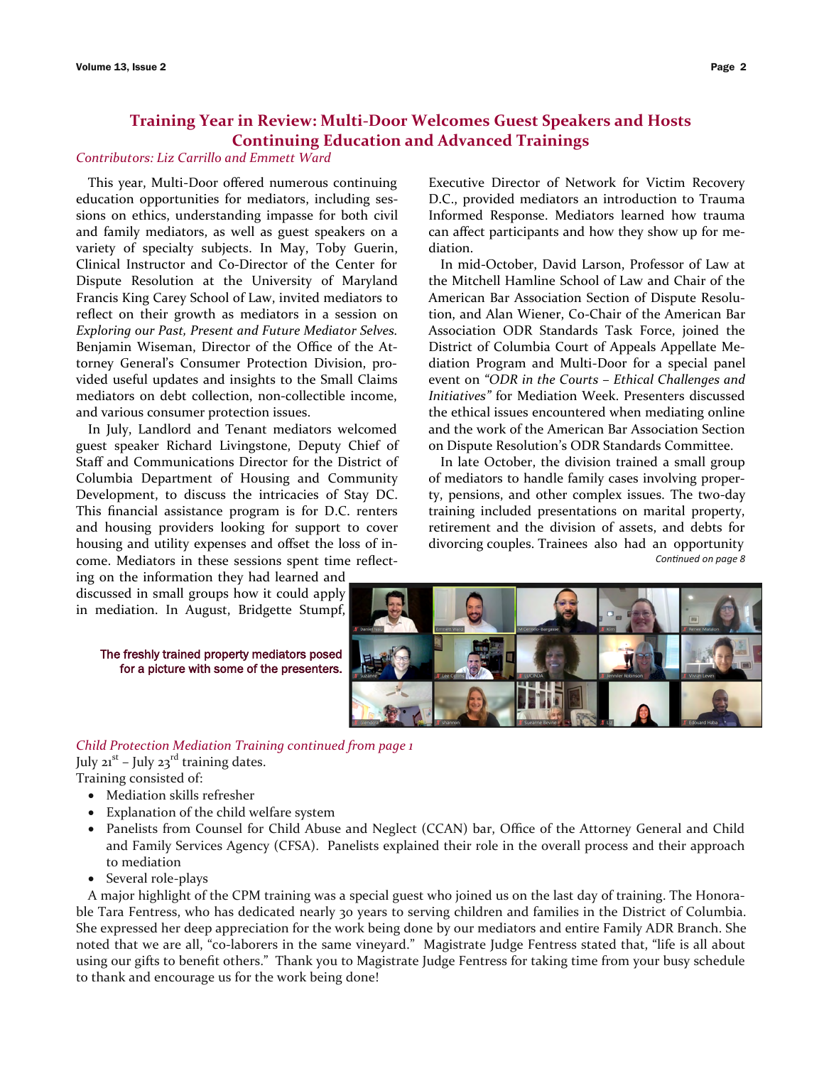# **Training Year in Review: Multi-Door Welcomes Guest Speakers and Hosts Continuing Education and Advanced Trainings**

### *Contributors: Liz Carrillo and Emmett Ward*

This year, Multi-Door offered numerous continuing education opportunities for mediators, including sessions on ethics, understanding impasse for both civil and family mediators, as well as guest speakers on a variety of specialty subjects. In May, Toby Guerin, Clinical Instructor and Co-Director of the Center for Dispute Resolution at the University of Maryland Francis King Carey School of Law, invited mediators to reflect on their growth as mediators in a session on *Exploring our Past, Present and Future Mediator Selves*. Benjamin Wiseman, Director of the Office of the Attorney General's Consumer Protection Division, provided useful updates and insights to the Small Claims mediators on debt collection, non-collectible income, and various consumer protection issues.

In July, Landlord and Tenant mediators welcomed guest speaker Richard Livingstone, Deputy Chief of Staff and Communications Director for the District of Columbia Department of Housing and Community Development, to discuss the intricacies of Stay DC. This financial assistance program is for D.C. renters and housing providers looking for support to cover housing and utility expenses and offset the loss of income. Mediators in these sessions spent time reflect-

ing on the information they had learned and discussed in small groups how it could apply in mediation. In August, Bridgette Stumpf,

The freshly trained property mediators posed for a picture with some of the presenters. Executive Director of Network for Victim Recovery D.C., provided mediators an introduction to Trauma Informed Response. Mediators learned how trauma can affect participants and how they show up for mediation.

In mid-October, David Larson, Professor of Law at the Mitchell Hamline School of Law and Chair of the American Bar Association Section of Dispute Resolution, and Alan Wiener, Co-Chair of the American Bar Association ODR Standards Task Force, joined the District of Columbia Court of Appeals Appellate Mediation Program and Multi-Door for a special panel event on *"ODR in the Courts – Ethical Challenges and Initiatives"* for Mediation Week. Presenters discussed the ethical issues encountered when mediating online and the work of the American Bar Association Section on Dispute Resolution's ODR Standards Committee.

In late October, the division trained a small group of mediators to handle family cases involving property, pensions, and other complex issues. The two-day training included presentations on marital property, retirement and the division of assets, and debts for divorcing couples. Trainees also had an opportunity *Continued on page 8*



# *Child Protection Mediation Training continued from page 1*

July 21<sup>st</sup> – July 23<sup>rd</sup> training dates. Training consisted of:

- Mediation skills refresher
- Explanation of the child welfare system
- Panelists from Counsel for Child Abuse and Neglect (CCAN) bar, Office of the Attorney General and Child and Family Services Agency (CFSA). Panelists explained their role in the overall process and their approach to mediation
- Several role-plays

A major highlight of the CPM training was a special guest who joined us on the last day of training. The Honorable Tara Fentress, who has dedicated nearly 30 years to serving children and families in the District of Columbia. She expressed her deep appreciation for the work being done by our mediators and entire Family ADR Branch. She noted that we are all, "co-laborers in the same vineyard." Magistrate Judge Fentress stated that, "life is all about using our gifts to benefit others." Thank you to Magistrate Judge Fentress for taking time from your busy schedule to thank and encourage us for the work being done!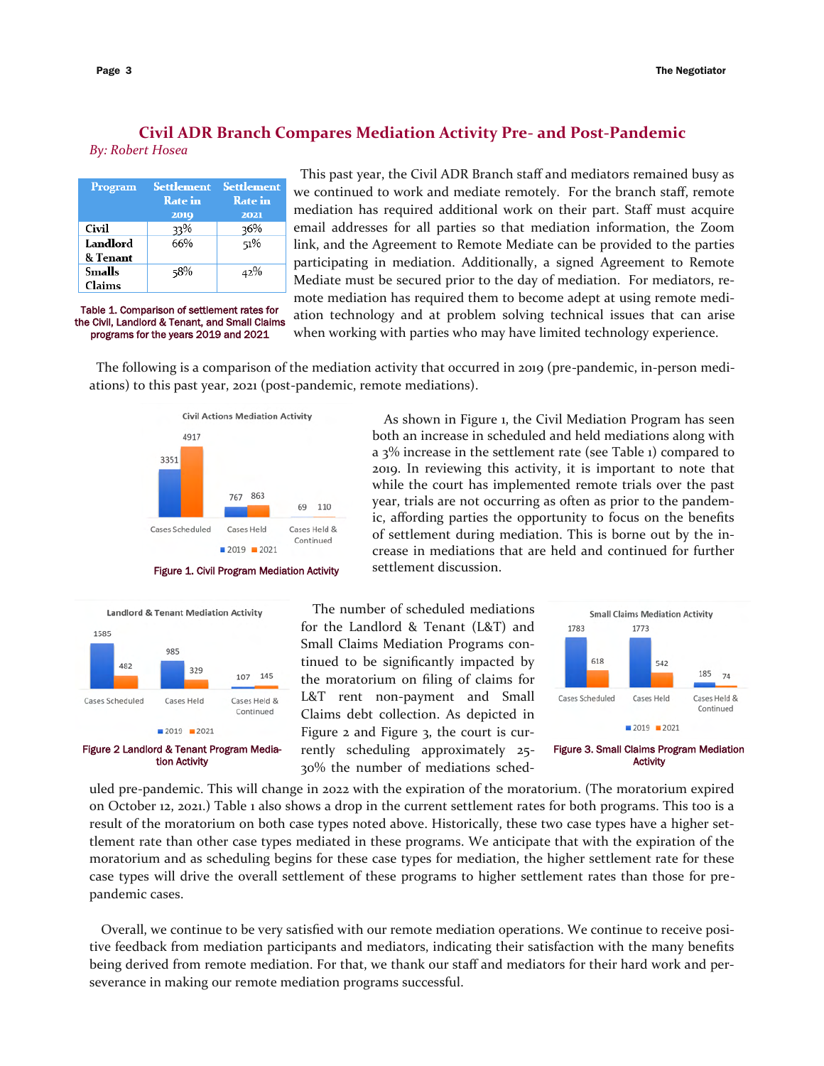# **Civil ADR Branch Compares Mediation Activity Pre- and Post-Pandemic**

*By: Robert Hosea*

| Program  | <b>Settlement</b><br><b>Rate</b> in | <b>Settlement</b><br><b>Rate</b> in |
|----------|-------------------------------------|-------------------------------------|
|          | 2019                                | 2021                                |
| Civil    | 33%                                 | 36%                                 |
| Landlord | 66%                                 | 51%                                 |
| & Tenant |                                     |                                     |
| Smalls   | 58%                                 | 42%                                 |
| Claims   |                                     |                                     |

Table 1. Comparison of settlement rates for the Civil, Landlord & Tenant, and Small Claims programs for the years 2019 and 2021

 This past year, the Civil ADR Branch staff and mediators remained busy as we continued to work and mediate remotely. For the branch staff, remote mediation has required additional work on their part. Staff must acquire email addresses for all parties so that mediation information, the Zoom link, and the Agreement to Remote Mediate can be provided to the parties participating in mediation. Additionally, a signed Agreement to Remote Mediate must be secured prior to the day of mediation. For mediators, remote mediation has required them to become adept at using remote mediation technology and at problem solving technical issues that can arise when working with parties who may have limited technology experience.

> As shown in Figure 1, the Civil Mediation Program has seen both an increase in scheduled and held mediations along with a 3% increase in the settlement rate (see Table 1) compared to 2019. In reviewing this activity, it is important to note that while the court has implemented remote trials over the past year, trials are not occurring as often as prior to the pandemic, affording parties the opportunity to focus on the benefits of settlement during mediation. This is borne out by the increase in mediations that are held and continued for further

 The following is a comparison of the mediation activity that occurred in 2019 (pre-pandemic, in-person mediations) to this past year, 2021 (post-pandemic, remote mediations).







The number of scheduled mediations for the Landlord & Tenant (L&T) and Small Claims Mediation Programs continued to be significantly impacted by the moratorium on filing of claims for L&T rent non-payment and Small Claims debt collection. As depicted in Figure 2 and Figure 3, the court is currently scheduling approximately 25- 30% the number of mediations sched-



uled pre-pandemic. This will change in 2022 with the expiration of the moratorium. (The moratorium expired on October 12, 2021.) Table 1 also shows a drop in the current settlement rates for both programs. This too is a result of the moratorium on both case types noted above. Historically, these two case types have a higher settlement rate than other case types mediated in these programs. We anticipate that with the expiration of the moratorium and as scheduling begins for these case types for mediation, the higher settlement rate for these case types will drive the overall settlement of these programs to higher settlement rates than those for prepandemic cases.

Overall, we continue to be very satisfied with our remote mediation operations. We continue to receive positive feedback from mediation participants and mediators, indicating their satisfaction with the many benefits being derived from remote mediation. For that, we thank our staff and mediators for their hard work and perseverance in making our remote mediation programs successful.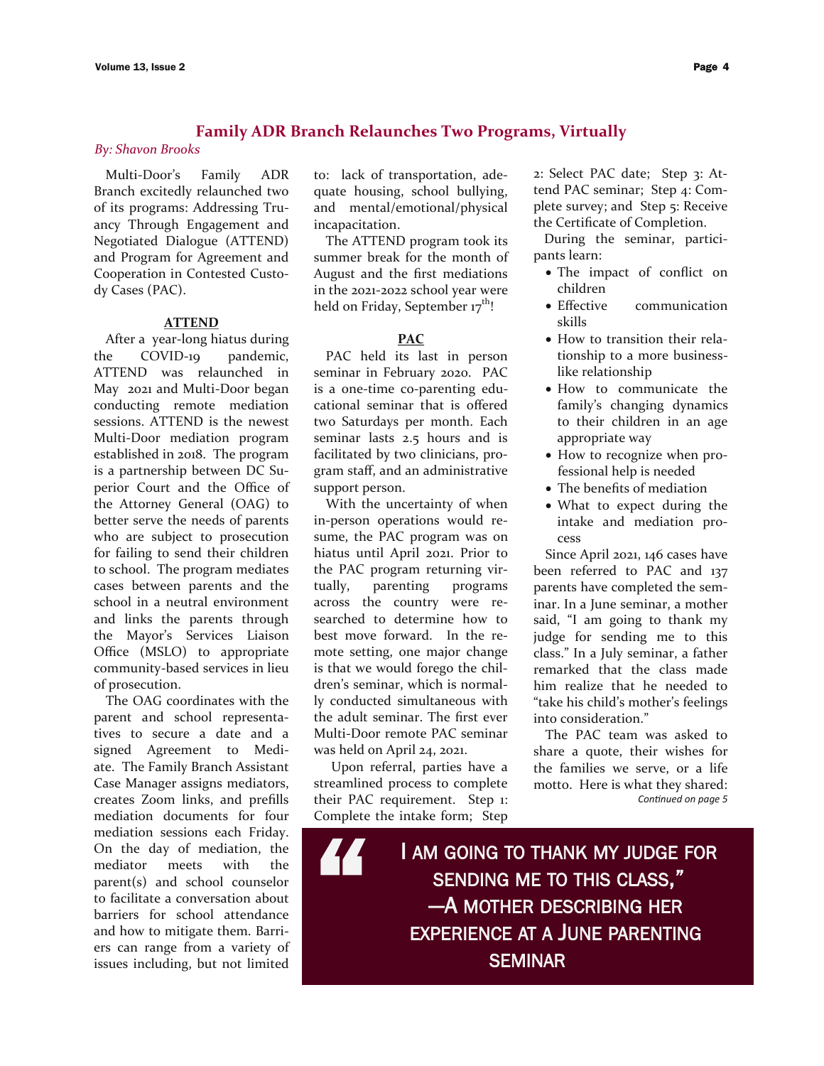# **Family ADR Branch Relaunches Two Programs, Virtually**

### *By: Shavon Brooks*

Multi-Door's Family ADR Branch excitedly relaunched two of its programs: Addressing Truancy Through Engagement and Negotiated Dialogue (ATTEND) and Program for Agreement and Cooperation in Contested Custody Cases (PAC).

### **ATTEND**

After a year-long hiatus during the COVID-19 pandemic, ATTEND was relaunched in May 2021 and Multi-Door began conducting remote mediation sessions. ATTEND is the newest Multi-Door mediation program established in 2018. The program is a partnership between DC Superior Court and the Office of the Attorney General (OAG) to better serve the needs of parents who are subject to prosecution for failing to send their children to school. The program mediates cases between parents and the school in a neutral environment and links the parents through the Mayor's Services Liaison Office (MSLO) to appropriate community-based services in lieu of prosecution.

The OAG coordinates with the parent and school representatives to secure a date and a signed Agreement to Mediate. The Family Branch Assistant Case Manager assigns mediators, creates Zoom links, and prefills mediation documents for four mediation sessions each Friday. On the day of mediation, the mediator meets with the parent(s) and school counselor to facilitate a conversation about barriers for school attendance and how to mitigate them. Barriers can range from a variety of issues including, but not limited to: lack of transportation, adequate housing, school bullying, and mental/emotional/physical incapacitation.

The ATTEND program took its summer break for the month of August and the first mediations in the 2021-2022 school year were held on Friday, September 17<sup>th</sup>!

### **PAC**

PAC held its last in person seminar in February 2020. PAC is a one-time co-parenting educational seminar that is offered two Saturdays per month. Each seminar lasts 2.5 hours and is facilitated by two clinicians, program staff, and an administrative support person.

With the uncertainty of when in-person operations would resume, the PAC program was on hiatus until April 2021. Prior to the PAC program returning virtually, parenting programs across the country were researched to determine how to best move forward. In the remote setting, one major change is that we would forego the children's seminar, which is normally conducted simultaneous with the adult seminar. The first ever Multi-Door remote PAC seminar was held on April 24, 2021.

 Upon referral, parties have a streamlined process to complete their PAC requirement. Step 1: Complete the intake form; Step

2: Select PAC date; Step 3: Attend PAC seminar; Step 4: Complete survey; and Step 5: Receive the Certificate of Completion.

During the seminar, participants learn:

- The impact of conflict on children
- Effective communication skills
- How to transition their relationship to a more businesslike relationship
- How to communicate the family's changing dynamics to their children in an age appropriate way
- How to recognize when professional help is needed
- The benefits of mediation
- What to expect during the intake and mediation process

Since April 2021, 146 cases have been referred to PAC and 137 parents have completed the seminar. In a June seminar, a mother said, "I am going to thank my judge for sending me to this class." In a July seminar, a father remarked that the class made him realize that he needed to "take his child's mother's feelings into consideration."

The PAC team was asked to share a quote, their wishes for the families we serve, or a life motto. Here is what they shared: *Continued on page 5*

The complete the m I AM GOING TO THANK MY JUDGE FOR SENDING ME TO THIS CLASS," —A MOTHER DESCRIBING HER EXPERIENCE AT A JUNE PARENTING **SEMINAR**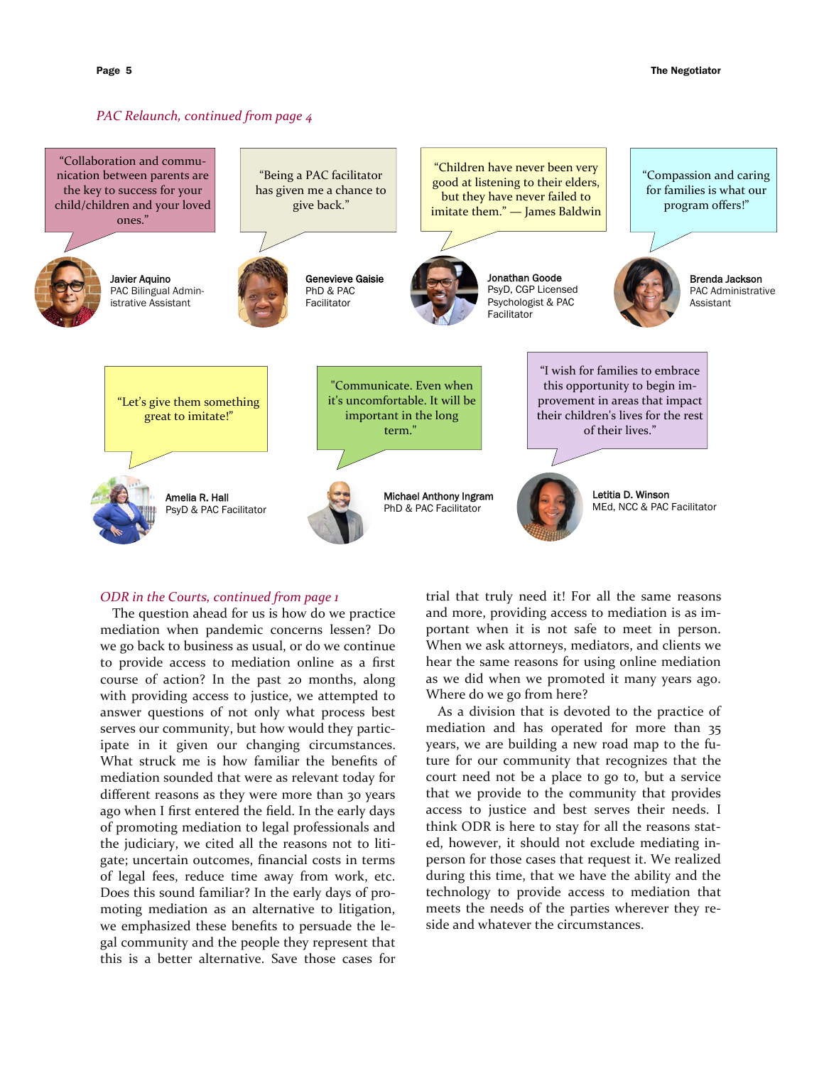### *PAC Relaunch, continued from page 4*



### *ODR in the Courts, continued from page 1*

The question ahead for us is how do we practice mediation when pandemic concerns lessen? Do we go back to business as usual, or do we continue to provide access to mediation online as a first course of action? In the past 20 months, along with providing access to justice, we attempted to answer questions of not only what process best serves our community, but how would they participate in it given our changing circumstances. What struck me is how familiar the benefits of mediation sounded that were as relevant today for different reasons as they were more than 30 years ago when I first entered the field. In the early days of promoting mediation to legal professionals and the judiciary, we cited all the reasons not to litigate; uncertain outcomes, financial costs in terms of legal fees, reduce time away from work, etc. Does this sound familiar? In the early days of promoting mediation as an alternative to litigation, we emphasized these benefits to persuade the legal community and the people they represent that this is a better alternative. Save those cases for

trial that truly need it! For all the same reasons and more, providing access to mediation is as important when it is not safe to meet in person. When we ask attorneys, mediators, and clients we hear the same reasons for using online mediation as we did when we promoted it many years ago. Where do we go from here?

As a division that is devoted to the practice of mediation and has operated for more than 35 years, we are building a new road map to the future for our community that recognizes that the court need not be a place to go to, but a service that we provide to the community that provides access to justice and best serves their needs. I think ODR is here to stay for all the reasons stated, however, it should not exclude mediating inperson for those cases that request it. We realized during this time, that we have the ability and the technology to provide access to mediation that meets the needs of the parties wherever they reside and whatever the circumstances.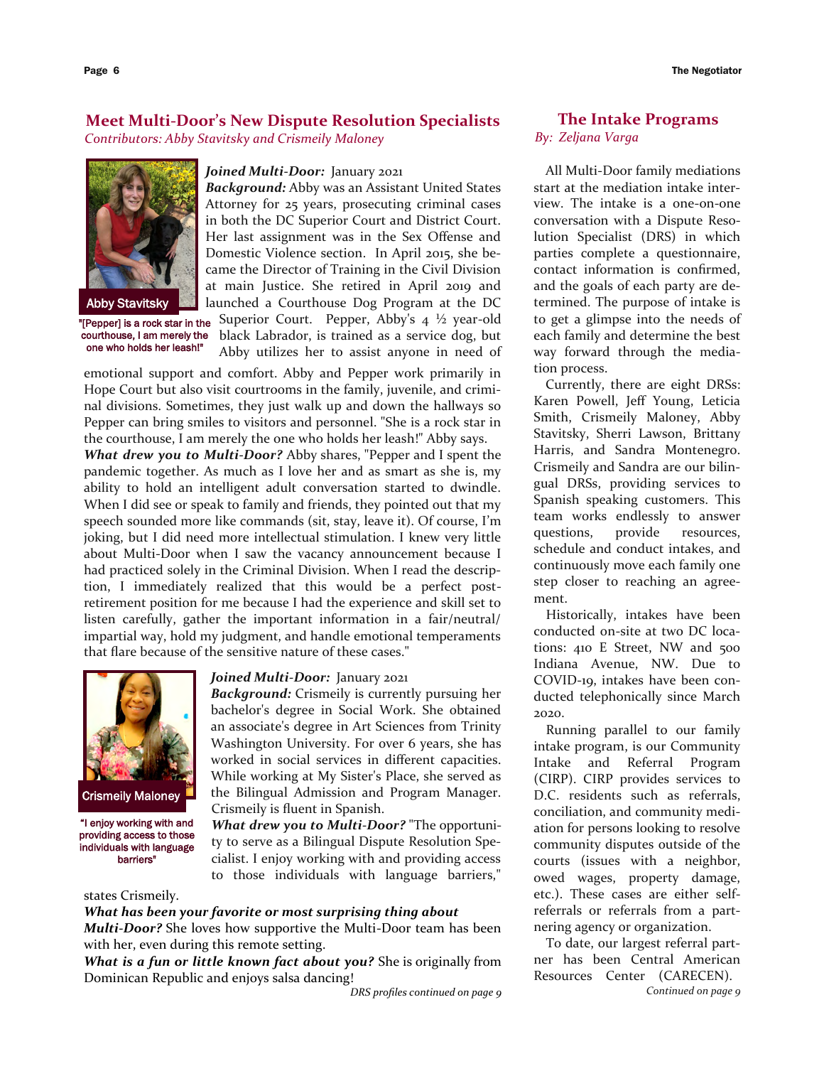# **Meet Multi-Door's New Dispute Resolution Specialists**

*Contributors: Abby Stavitsky and Crismeily Maloney*



one who holds her leash!"

### *Joined Multi-Door:* January 2021

*Background:* Abby was an Assistant United States Attorney for 25 years, prosecuting criminal cases in both the DC Superior Court and District Court. Her last assignment was in the Sex Offense and Domestic Violence section. In April 2015, she became the Director of Training in the Civil Division at main Justice. She retired in April 2019 and launched a Courthouse Dog Program at the DC **"[Pepper] is a rock star in the** Superior Court. Pepper, Abby's  $4\frac{1}{2}$  year-old courthouse, I am merely the black Labrador, is trained as a service dog, but Abby utilizes her to assist anyone in need of

emotional support and comfort. Abby and Pepper work primarily in Hope Court but also visit courtrooms in the family, juvenile, and criminal divisions. Sometimes, they just walk up and down the hallways so Pepper can bring smiles to visitors and personnel. "She is a rock star in the courthouse, I am merely the one who holds her leash!" Abby says.

*What drew you to Multi-Door?* Abby shares, "Pepper and I spent the pandemic together. As much as I love her and as smart as she is, my ability to hold an intelligent adult conversation started to dwindle. When I did see or speak to family and friends, they pointed out that my speech sounded more like commands (sit, stay, leave it). Of course, I'm joking, but I did need more intellectual stimulation. I knew very little about Multi-Door when I saw the vacancy announcement because I had practiced solely in the Criminal Division. When I read the description, I immediately realized that this would be a perfect postretirement position for me because I had the experience and skill set to listen carefully, gather the important information in a fair/neutral/ impartial way, hold my judgment, and handle emotional temperaments that flare because of the sensitive nature of these cases."



Crismeily Maloney

"I enjoy working with and providing access to those individuals with language barriers"

### *Joined Multi-Door:* January 2021

*Background:* Crismeily is currently pursuing her bachelor's degree in Social Work. She obtained an associate's degree in Art Sciences from Trinity Washington University. For over 6 years, she has worked in social services in different capacities. While working at My Sister's Place, she served as the Bilingual Admission and Program Manager. Crismeily is fluent in Spanish.

*What drew you to Multi-Door?* "The opportunity to serve as a Bilingual Dispute Resolution Specialist. I enjoy working with and providing access to those individuals with language barriers,"

### states Crismeily.

*What has been your favorite or most surprising thing about* 

*Multi-Door?* She loves how supportive the Multi-Door team has been with her, even during this remote setting.

*What is a fun or little known fact about you?* She is originally from Dominican Republic and enjoys salsa dancing!

*DRS profiles continued on page 9*

# **The Intake Programs** *By: Zeljana Varga*

All Multi-Door family mediations start at the mediation intake interview. The intake is a one-on-one conversation with a Dispute Resolution Specialist (DRS) in which parties complete a questionnaire, contact information is confirmed, and the goals of each party are determined. The purpose of intake is to get a glimpse into the needs of each family and determine the best way forward through the mediation process.

Currently, there are eight DRSs: Karen Powell, Jeff Young, Leticia Smith, Crismeily Maloney, Abby Stavitsky, Sherri Lawson, Brittany Harris, and Sandra Montenegro. Crismeily and Sandra are our bilingual DRSs, providing services to Spanish speaking customers. This team works endlessly to answer questions, provide resources, schedule and conduct intakes, and continuously move each family one step closer to reaching an agreement.

Historically, intakes have been conducted on-site at two DC locations: 410 E Street, NW and 500 Indiana Avenue, NW. Due to COVID-19, intakes have been conducted telephonically since March 2020.

Running parallel to our family intake program, is our Community Intake and Referral Program (CIRP). CIRP provides services to D.C. residents such as referrals, conciliation, and community mediation for persons looking to resolve community disputes outside of the courts (issues with a neighbor, owed wages, property damage, etc.). These cases are either selfreferrals or referrals from a partnering agency or organization.

To date, our largest referral partner has been Central American Resources Center (CARECEN).

*Continued on page 9*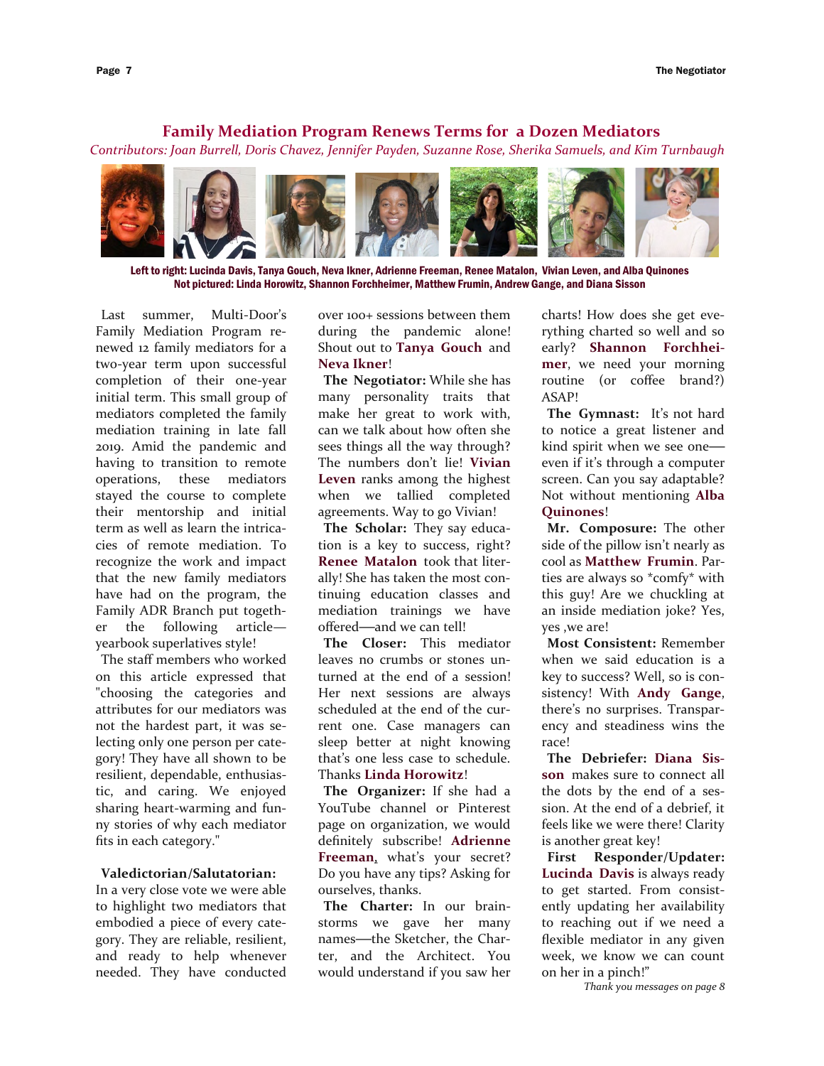## **Family Mediation Program Renews Terms for a Dozen Mediators**

*Contributors: Joan Burrell, Doris Chavez, Jennifer Payden, Suzanne Rose, Sherika Samuels, and Kim Turnbaugh*



Left to right: Lucinda Davis, Tanya Gouch, Neva Ikner, Adrienne Freeman, Renee Matalon, Vivian Leven, and Alba Quinones Not pictured: Linda Horowitz, Shannon Forchheimer, Matthew Frumin, Andrew Gange, and Diana Sisson

Last summer, Multi-Door's Family Mediation Program renewed 12 family mediators for a two-year term upon successful completion of their one-year initial term. This small group of mediators completed the family mediation training in late fall 2019. Amid the pandemic and having to transition to remote operations, these mediators stayed the course to complete their mentorship and initial term as well as learn the intricacies of remote mediation. To recognize the work and impact that the new family mediators have had on the program, the Family ADR Branch put together the following article yearbook superlatives style!

The staff members who worked on this article expressed that "choosing the categories and attributes for our mediators was not the hardest part, it was selecting only one person per category! They have all shown to be resilient, dependable, enthusiastic, and caring. We enjoyed sharing heart-warming and funny stories of why each mediator fits in each category."

### **Valedictorian/Salutatorian:**

In a very close vote we were able to highlight two mediators that embodied a piece of every category. They are reliable, resilient, and ready to help whenever needed. They have conducted over 100+ sessions between them during the pandemic alone! Shout out to **Tanya Gouch** and **Neva Ikner**!

**The Negotiator:** While she has many personality traits that make her great to work with, can we talk about how often she sees things all the way through? The numbers don't lie! **Vivian Leven** ranks among the highest when we tallied completed agreements. Way to go Vivian!

**The Scholar:** They say education is a key to success, right? **Renee Matalon** took that literally! She has taken the most continuing education classes and mediation trainings we have offered**—**and we can tell!

**The Closer:** This mediator leaves no crumbs or stones unturned at the end of a session! Her next sessions are always scheduled at the end of the current one. Case managers can sleep better at night knowing that's one less case to schedule. Thanks **Linda Horowitz**!

**The Organizer:** If she had a YouTube channel or Pinterest page on organization, we would definitely subscribe! **Adrienne Freeman**, what's your secret? Do you have any tips? Asking for ourselves, thanks.

**The Charter:** In our brainstorms we gave her many names**—**the Sketcher, the Charter, and the Architect. You would understand if you saw her charts! How does she get everything charted so well and so early? **Shannon Forchheimer**, we need your morning routine (or coffee brand?) ASAP!

**The Gymnast:** It's not hard to notice a great listener and kind spirit when we see one even if it's through a computer screen. Can you say adaptable? Not without mentioning **Alba Quinones**!

**Mr. Composure:** The other side of the pillow isn't nearly as cool as **Matthew Frumin**. Parties are always so \*comfy\* with this guy! Are we chuckling at an inside mediation joke? Yes, yes ,we are!

**Most Consistent:** Remember when we said education is a key to success? Well, so is consistency! With **Andy Gange**, there's no surprises. Transparency and steadiness wins the race!

**The Debriefer: Diana Sisson** makes sure to connect all the dots by the end of a session. At the end of a debrief, it feels like we were there! Clarity is another great key!

**First Responder/Updater: Lucinda Davis** is always ready to get started. From consistently updating her availability to reaching out if we need a flexible mediator in any given week, we know we can count on her in a pinch!"

*Thank you messages on page 8*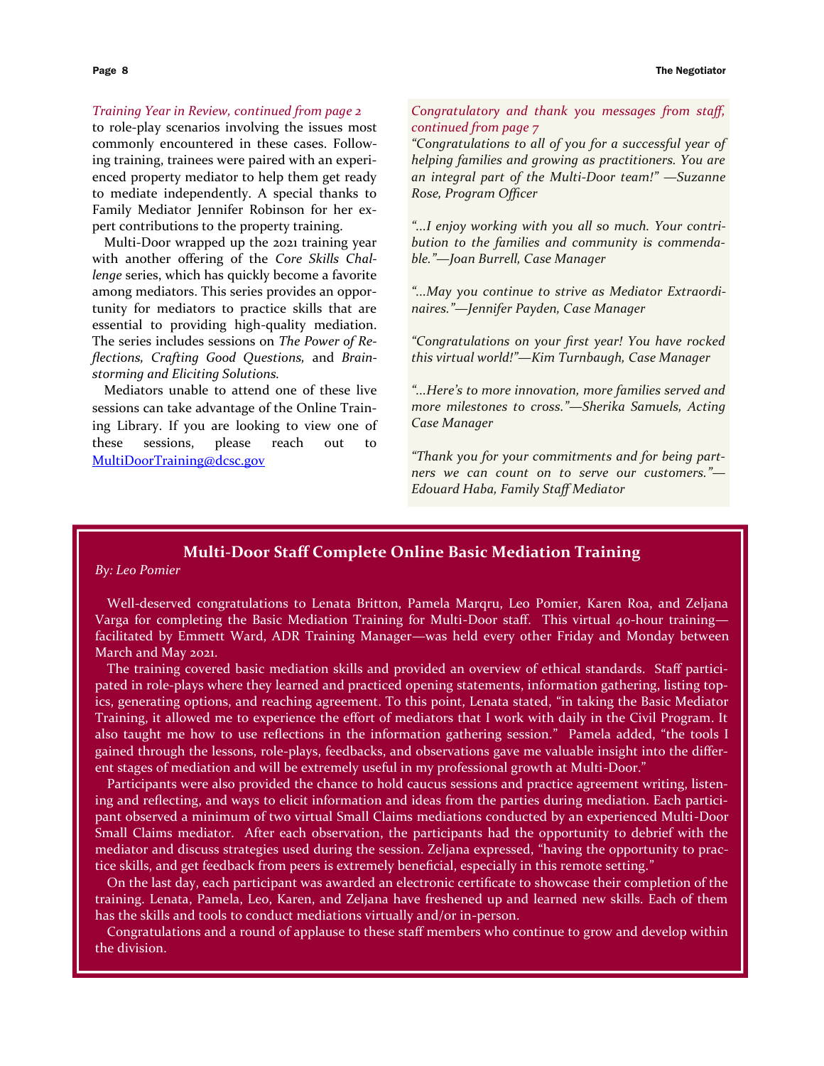### *Training Year in Review, continued from page 2*

to role-play scenarios involving the issues most commonly encountered in these cases. Following training, trainees were paired with an experienced property mediator to help them get ready to mediate independently. A special thanks to Family Mediator Jennifer Robinson for her expert contributions to the property training.

Multi-Door wrapped up the 2021 training year with another offering of the *Core Skills Challenge* series, which has quickly become a favorite among mediators. This series provides an opportunity for mediators to practice skills that are essential to providing high-quality mediation. The series includes sessions on *The Power of Reflections, Crafting Good Questions,* and *Brainstorming and Eliciting Solutions.*

Mediators unable to attend one of these live sessions can take advantage of the Online Training Library. If you are looking to view one of these sessions, please reach out to [MultiDoorTraining@dcsc.gov](mailto:MultiDoorTraining@dcsc.gov)

## *Congratulatory and thank you messages from staff, continued from page 7*

*"Congratulations to all of you for a successful year of helping families and growing as practitioners. You are an integral part of the Multi-Door team!" —Suzanne Rose, Program Officer*

*"...I enjoy working with you all so much. Your contribution to the families and community is commendable."—Joan Burrell, Case Manager*

*"...May you continue to strive as Mediator Extraordinaires."—Jennifer Payden, Case Manager*

*"Congratulations on your first year! You have rocked this virtual world!"—Kim Turnbaugh, Case Manager*

*"...Here's to more innovation, more families served and more milestones to cross."—Sherika Samuels, Acting Case Manager*

*"Thank you for your commitments and for being partners we can count on to serve our customers."— Edouard Haba, Family Staff Mediator*

# **Multi-Door Staff Complete Online Basic Mediation Training**

## *By: Leo Pomier*

Well-deserved congratulations to Lenata Britton, Pamela Marqru, Leo Pomier, Karen Roa, and Zeljana Varga for completing the Basic Mediation Training for Multi-Door staff. This virtual 40-hour training facilitated by Emmett Ward, ADR Training Manager—was held every other Friday and Monday between March and May 2021.

The training covered basic mediation skills and provided an overview of ethical standards. Staff participated in role-plays where they learned and practiced opening statements, information gathering, listing topics, generating options, and reaching agreement. To this point, Lenata stated, "in taking the Basic Mediator Training, it allowed me to experience the effort of mediators that I work with daily in the Civil Program. It also taught me how to use reflections in the information gathering session." Pamela added, "the tools I gained through the lessons, role-plays, feedbacks, and observations gave me valuable insight into the different stages of mediation and will be extremely useful in my professional growth at Multi-Door."

Participants were also provided the chance to hold caucus sessions and practice agreement writing, listening and reflecting, and ways to elicit information and ideas from the parties during mediation. Each participant observed a minimum of two virtual Small Claims mediations conducted by an experienced Multi-Door Small Claims mediator. After each observation, the participants had the opportunity to debrief with the mediator and discuss strategies used during the session. Zeljana expressed, "having the opportunity to practice skills, and get feedback from peers is extremely beneficial, especially in this remote setting."

On the last day, each participant was awarded an electronic certificate to showcase their completion of the training. Lenata, Pamela, Leo, Karen, and Zeljana have freshened up and learned new skills. Each of them has the skills and tools to conduct mediations virtually and/or in-person.

Congratulations and a round of applause to these staff members who continue to grow and develop within the division.